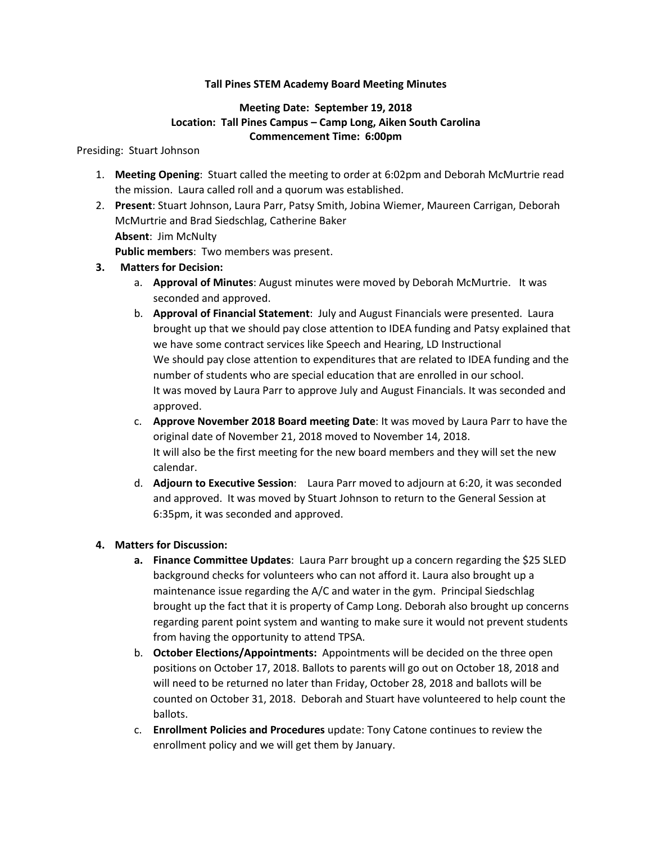### **Tall Pines STEM Academy Board Meeting Minutes**

### **Meeting Date: September 19, 2018 Location: Tall Pines Campus – Camp Long, Aiken South Carolina Commencement Time: 6:00pm**

#### Presiding: Stuart Johnson

- 1. **Meeting Opening**: Stuart called the meeting to order at 6:02pm and Deborah McMurtrie read the mission. Laura called roll and a quorum was established.
- 2. **Present**: Stuart Johnson, Laura Parr, Patsy Smith, Jobina Wiemer, Maureen Carrigan, Deborah McMurtrie and Brad Siedschlag, Catherine Baker **Absent**: Jim McNulty **Public members**: Two members was present.

**3. Matters for Decision:**

- a. **Approval of Minutes**: August minutes were moved by Deborah McMurtrie. It was seconded and approved.
- b. **Approval of Financial Statement**: July and August Financials were presented. Laura brought up that we should pay close attention to IDEA funding and Patsy explained that we have some contract services like Speech and Hearing, LD Instructional We should pay close attention to expenditures that are related to IDEA funding and the number of students who are special education that are enrolled in our school. It was moved by Laura Parr to approve July and August Financials. It was seconded and approved.
- c. **Approve November 2018 Board meeting Date**: It was moved by Laura Parr to have the original date of November 21, 2018 moved to November 14, 2018. It will also be the first meeting for the new board members and they will set the new calendar.
- d. **Adjourn to Executive Session**: Laura Parr moved to adjourn at 6:20, it was seconded and approved. It was moved by Stuart Johnson to return to the General Session at 6:35pm, it was seconded and approved.

### **4. Matters for Discussion:**

- **a. Finance Committee Updates**: Laura Parr brought up a concern regarding the \$25 SLED background checks for volunteers who can not afford it. Laura also brought up a maintenance issue regarding the A/C and water in the gym. Principal Siedschlag brought up the fact that it is property of Camp Long. Deborah also brought up concerns regarding parent point system and wanting to make sure it would not prevent students from having the opportunity to attend TPSA.
- b. **October Elections/Appointments:** Appointments will be decided on the three open positions on October 17, 2018. Ballots to parents will go out on October 18, 2018 and will need to be returned no later than Friday, October 28, 2018 and ballots will be counted on October 31, 2018. Deborah and Stuart have volunteered to help count the ballots.
- c. **Enrollment Policies and Procedures** update: Tony Catone continues to review the enrollment policy and we will get them by January.